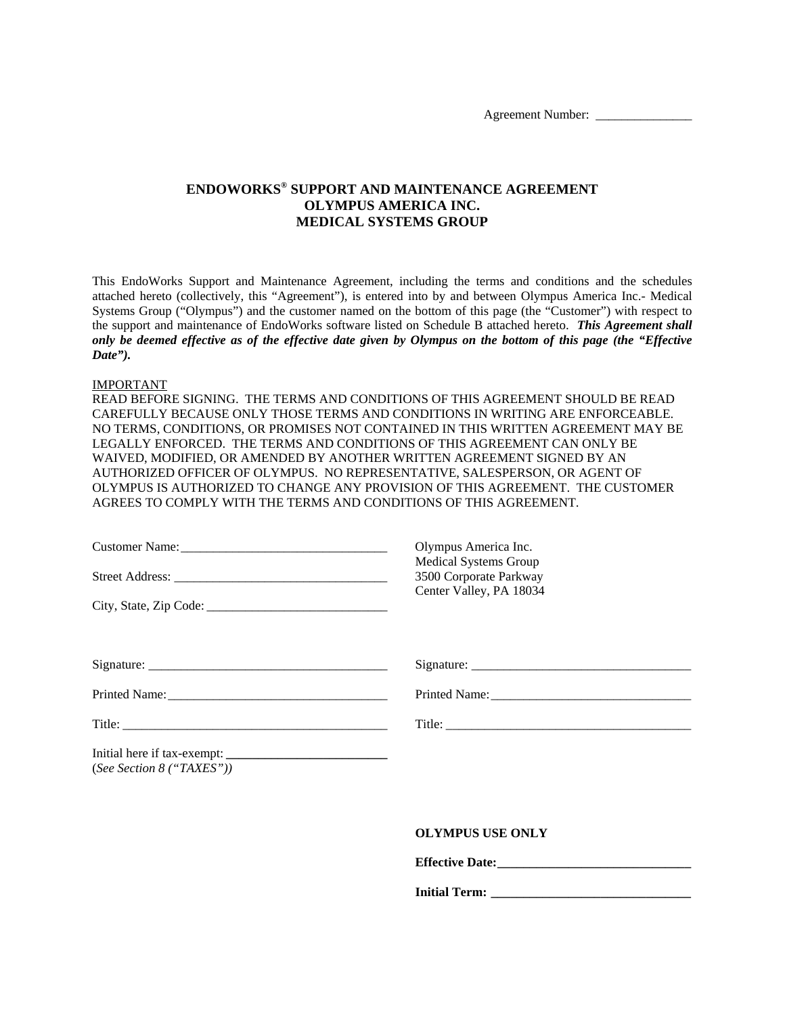# **ENDOWORKS® SUPPORT AND MAINTENANCE AGREEMENT OLYMPUS AMERICA INC. MEDICAL SYSTEMS GROUP**

This EndoWorks Support and Maintenance Agreement, including the terms and conditions and the schedules attached hereto (collectively, this "Agreement"), is entered into by and between Olympus America Inc.- Medical Systems Group ("Olympus") and the customer named on the bottom of this page (the "Customer") with respect to the support and maintenance of EndoWorks software listed on Schedule B attached hereto. *This Agreement shall only be deemed effective as of the effective date given by Olympus on the bottom of this page (the "Effective Date").*

#### IMPORTANT

READ BEFORE SIGNING. THE TERMS AND CONDITIONS OF THIS AGREEMENT SHOULD BE READ CAREFULLY BECAUSE ONLY THOSE TERMS AND CONDITIONS IN WRITING ARE ENFORCEABLE. NO TERMS, CONDITIONS, OR PROMISES NOT CONTAINED IN THIS WRITTEN AGREEMENT MAY BE LEGALLY ENFORCED. THE TERMS AND CONDITIONS OF THIS AGREEMENT CAN ONLY BE WAIVED, MODIFIED, OR AMENDED BY ANOTHER WRITTEN AGREEMENT SIGNED BY AN AUTHORIZED OFFICER OF OLYMPUS. NO REPRESENTATIVE, SALESPERSON, OR AGENT OF OLYMPUS IS AUTHORIZED TO CHANGE ANY PROVISION OF THIS AGREEMENT. THE CUSTOMER AGREES TO COMPLY WITH THE TERMS AND CONDITIONS OF THIS AGREEMENT.

|                             | Olympus America Inc.<br>Medical Systems Group     |  |
|-----------------------------|---------------------------------------------------|--|
|                             | 3500 Corporate Parkway<br>Center Valley, PA 18034 |  |
|                             |                                                   |  |
|                             |                                                   |  |
|                             |                                                   |  |
|                             |                                                   |  |
| (See Section $8$ ("TAXES")) |                                                   |  |
|                             | <b>OLYMPUS USE ONLY</b>                           |  |

**Initial Term: \_\_\_\_\_\_\_\_\_\_\_\_\_\_\_\_\_\_\_\_\_\_\_\_\_\_\_\_\_\_\_**

 **Effective Date:\_\_\_\_\_\_\_\_\_\_\_\_\_\_\_\_\_\_\_\_\_\_\_\_\_\_\_\_\_\_**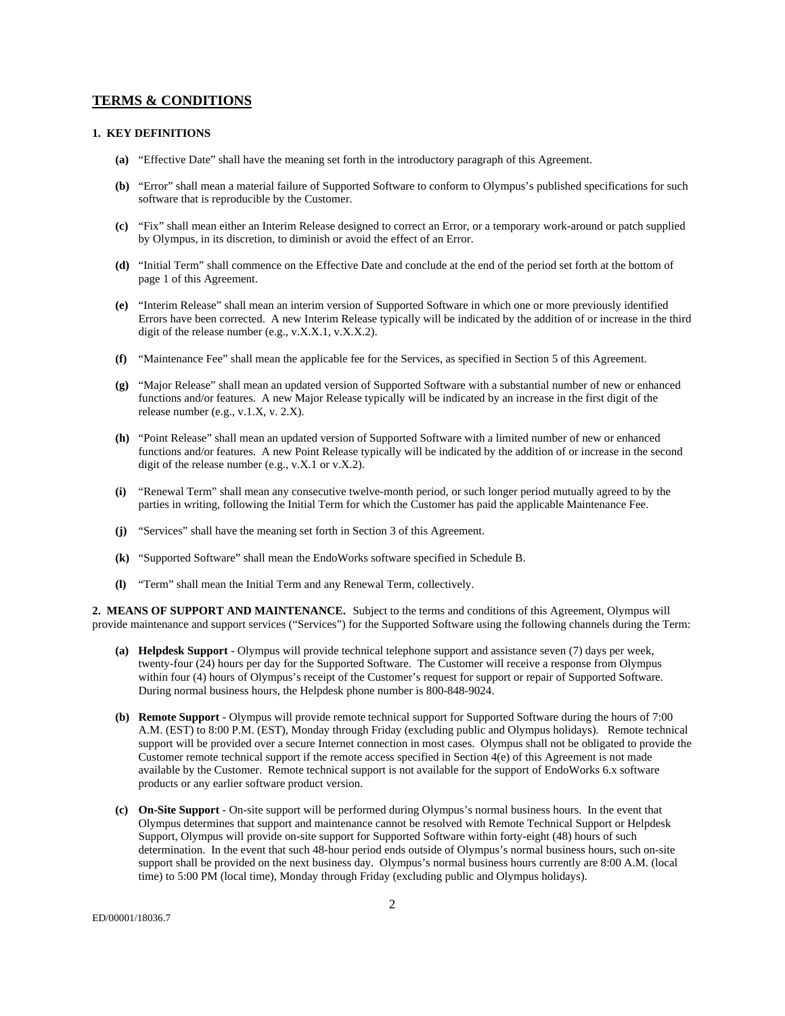### **TERMS & CONDITIONS**

#### **1. KEY DEFINITIONS**

- **(a)** "Effective Date" shall have the meaning set forth in the introductory paragraph of this Agreement.
- **(b)** "Error" shall mean a material failure of Supported Software to conform to Olympus's published specifications for such software that is reproducible by the Customer.
- **(c)** "Fix" shall mean either an Interim Release designed to correct an Error, or a temporary work-around or patch supplied by Olympus, in its discretion, to diminish or avoid the effect of an Error.
- **(d)** "Initial Term" shall commence on the Effective Date and conclude at the end of the period set forth at the bottom of page 1 of this Agreement.
- **(e)** "Interim Release" shall mean an interim version of Supported Software in which one or more previously identified Errors have been corrected. A new Interim Release typically will be indicated by the addition of or increase in the third digit of the release number (e.g.,  $v.X.X.1, v.X.X.2$ ).
- **(f)** "Maintenance Fee" shall mean the applicable fee for the Services, as specified in Section 5 of this Agreement.
- **(g)** "Major Release" shall mean an updated version of Supported Software with a substantial number of new or enhanced functions and/or features. A new Major Release typically will be indicated by an increase in the first digit of the release number (e.g., v.1.X, v. 2.X).
- **(h)** "Point Release" shall mean an updated version of Supported Software with a limited number of new or enhanced functions and/or features. A new Point Release typically will be indicated by the addition of or increase in the second digit of the release number (e.g.,  $v.X.1$  or  $v.X.2$ ).
- **(i)** "Renewal Term" shall mean any consecutive twelve-month period, or such longer period mutually agreed to by the parties in writing, following the Initial Term for which the Customer has paid the applicable Maintenance Fee.
- **(j)** "Services" shall have the meaning set forth in Section 3 of this Agreement.
- **(k)** "Supported Software" shall mean the EndoWorks software specified in Schedule B.
- **(l)** "Term" shall mean the Initial Term and any Renewal Term, collectively.

**2. MEANS OF SUPPORT AND MAINTENANCE.** Subject to the terms and conditions of this Agreement, Olympus will provide maintenance and support services ("Services") for the Supported Software using the following channels during the Term:

- **(a) Helpdesk Support** Olympus will provide technical telephone support and assistance seven (7) days per week, twenty-four (24) hours per day for the Supported Software. The Customer will receive a response from Olympus within four (4) hours of Olympus's receipt of the Customer's request for support or repair of Supported Software. During normal business hours, the Helpdesk phone number is 800-848-9024.
- **(b) Remote Support** Olympus will provide remote technical support for Supported Software during the hours of 7:00 A.M. (EST) to 8:00 P.M. (EST), Monday through Friday (excluding public and Olympus holidays). Remote technical support will be provided over a secure Internet connection in most cases. Olympus shall not be obligated to provide the Customer remote technical support if the remote access specified in Section 4(e) of this Agreement is not made available by the Customer. Remote technical support is not available for the support of EndoWorks 6.x software products or any earlier software product version.
- **(c) On-Site Support** On-site support will be performed during Olympus's normal business hours. In the event that Olympus determines that support and maintenance cannot be resolved with Remote Technical Support or Helpdesk Support, Olympus will provide on-site support for Supported Software within forty-eight (48) hours of such determination. In the event that such 48-hour period ends outside of Olympus's normal business hours, such on-site support shall be provided on the next business day. Olympus's normal business hours currently are 8:00 A.M. (local time) to 5:00 PM (local time), Monday through Friday (excluding public and Olympus holidays).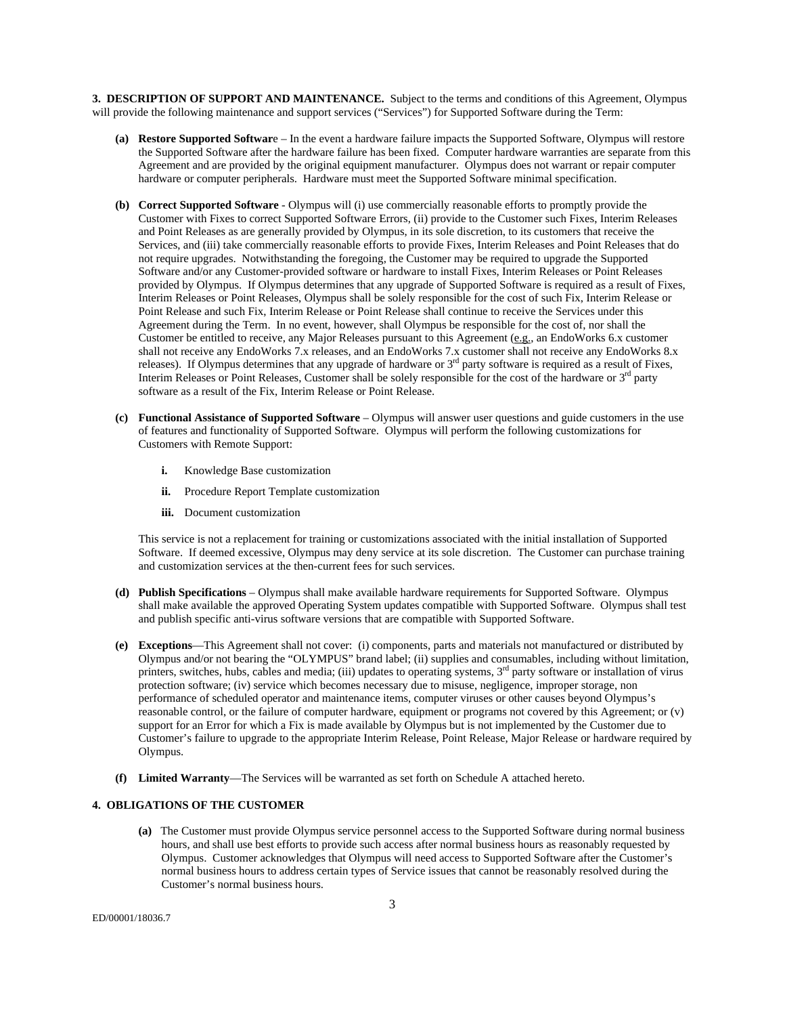**3. DESCRIPTION OF SUPPORT AND MAINTENANCE.** Subject to the terms and conditions of this Agreement, Olympus will provide the following maintenance and support services ("Services") for Supported Software during the Term:

- **(a) Restore Supported Softwar**e In the event a hardware failure impacts the Supported Software, Olympus will restore the Supported Software after the hardware failure has been fixed. Computer hardware warranties are separate from this Agreement and are provided by the original equipment manufacturer. Olympus does not warrant or repair computer hardware or computer peripherals. Hardware must meet the Supported Software minimal specification.
- **(b) Correct Supported Software** Olympus will (i) use commercially reasonable efforts to promptly provide the Customer with Fixes to correct Supported Software Errors, (ii) provide to the Customer such Fixes, Interim Releases and Point Releases as are generally provided by Olympus, in its sole discretion, to its customers that receive the Services, and (iii) take commercially reasonable efforts to provide Fixes, Interim Releases and Point Releases that do not require upgrades. Notwithstanding the foregoing, the Customer may be required to upgrade the Supported Software and/or any Customer-provided software or hardware to install Fixes, Interim Releases or Point Releases provided by Olympus. If Olympus determines that any upgrade of Supported Software is required as a result of Fixes, Interim Releases or Point Releases, Olympus shall be solely responsible for the cost of such Fix, Interim Release or Point Release and such Fix, Interim Release or Point Release shall continue to receive the Services under this Agreement during the Term. In no event, however, shall Olympus be responsible for the cost of, nor shall the Customer be entitled to receive, any Major Releases pursuant to this Agreement (e.g., an EndoWorks 6.x customer shall not receive any EndoWorks 7.x releases, and an EndoWorks 7.x customer shall not receive any EndoWorks 8.x releases). If Olympus determines that any upgrade of hardware or  $3<sup>rd</sup>$  party software is required as a result of Fixes, Interim Releases or Point Releases, Customer shall be solely responsible for the cost of the hardware or 3<sup>rd</sup> party software as a result of the Fix, Interim Release or Point Release.
- **(c) Functional Assistance of Supported Software** Olympus will answer user questions and guide customers in the use of features and functionality of Supported Software. Olympus will perform the following customizations for Customers with Remote Support:
	- **i.** Knowledge Base customization
	- **ii.** Procedure Report Template customization
	- **iii.** Document customization

This service is not a replacement for training or customizations associated with the initial installation of Supported Software. If deemed excessive, Olympus may deny service at its sole discretion. The Customer can purchase training and customization services at the then-current fees for such services.

- **(d) Publish Specifications** Olympus shall make available hardware requirements for Supported Software. Olympus shall make available the approved Operating System updates compatible with Supported Software. Olympus shall test and publish specific anti-virus software versions that are compatible with Supported Software.
- **(e) Exceptions**—This Agreement shall not cover: (i) components, parts and materials not manufactured or distributed by Olympus and/or not bearing the "OLYMPUS" brand label; (ii) supplies and consumables, including without limitation, printers, switches, hubs, cables and media; (iii) updates to operating systems, 3<sup>rd</sup> party software or installation of virus protection software; (iv) service which becomes necessary due to misuse, negligence, improper storage, non performance of scheduled operator and maintenance items, computer viruses or other causes beyond Olympus's reasonable control, or the failure of computer hardware, equipment or programs not covered by this Agreement; or (v) support for an Error for which a Fix is made available by Olympus but is not implemented by the Customer due to Customer's failure to upgrade to the appropriate Interim Release, Point Release, Major Release or hardware required by Olympus.
- **(f) Limited Warranty**—The Services will be warranted as set forth on Schedule A attached hereto.

### **4. OBLIGATIONS OF THE CUSTOMER**

**(a)** The Customer must provide Olympus service personnel access to the Supported Software during normal business hours, and shall use best efforts to provide such access after normal business hours as reasonably requested by Olympus. Customer acknowledges that Olympus will need access to Supported Software after the Customer's normal business hours to address certain types of Service issues that cannot be reasonably resolved during the Customer's normal business hours.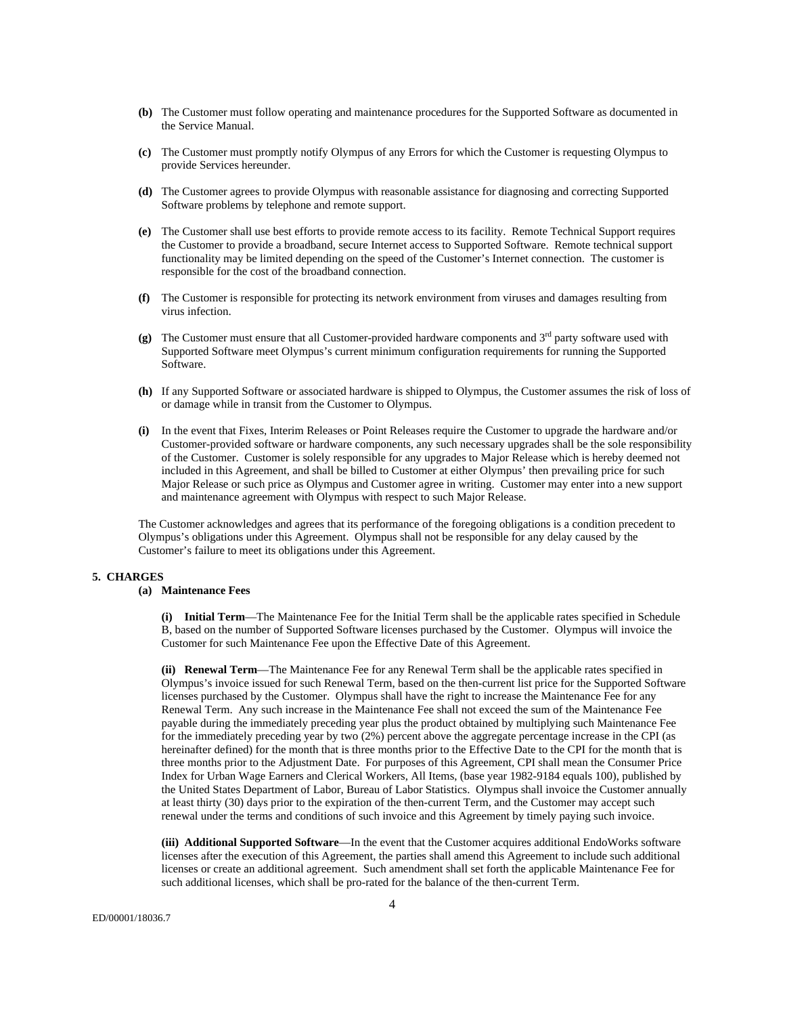- **(b)** The Customer must follow operating and maintenance procedures for the Supported Software as documented in the Service Manual.
- **(c)** The Customer must promptly notify Olympus of any Errors for which the Customer is requesting Olympus to provide Services hereunder.
- **(d)** The Customer agrees to provide Olympus with reasonable assistance for diagnosing and correcting Supported Software problems by telephone and remote support.
- **(e)** The Customer shall use best efforts to provide remote access to its facility. Remote Technical Support requires the Customer to provide a broadband, secure Internet access to Supported Software. Remote technical support functionality may be limited depending on the speed of the Customer's Internet connection. The customer is responsible for the cost of the broadband connection.
- **(f)** The Customer is responsible for protecting its network environment from viruses and damages resulting from virus infection.
- **(g)** The Customer must ensure that all Customer-provided hardware components and 3rd party software used with Supported Software meet Olympus's current minimum configuration requirements for running the Supported Software.
- **(h)** If any Supported Software or associated hardware is shipped to Olympus, the Customer assumes the risk of loss of or damage while in transit from the Customer to Olympus.
- **(i)** In the event that Fixes, Interim Releases or Point Releases require the Customer to upgrade the hardware and/or Customer-provided software or hardware components, any such necessary upgrades shall be the sole responsibility of the Customer. Customer is solely responsible for any upgrades to Major Release which is hereby deemed not included in this Agreement, and shall be billed to Customer at either Olympus' then prevailing price for such Major Release or such price as Olympus and Customer agree in writing. Customer may enter into a new support and maintenance agreement with Olympus with respect to such Major Release.

The Customer acknowledges and agrees that its performance of the foregoing obligations is a condition precedent to Olympus's obligations under this Agreement. Olympus shall not be responsible for any delay caused by the Customer's failure to meet its obligations under this Agreement.

## **5. CHARGES**

# **(a) Maintenance Fees**

**(i) Initial Term**—The Maintenance Fee for the Initial Term shall be the applicable rates specified in Schedule B, based on the number of Supported Software licenses purchased by the Customer. Olympus will invoice the Customer for such Maintenance Fee upon the Effective Date of this Agreement.

**(ii) Renewal Term**—The Maintenance Fee for any Renewal Term shall be the applicable rates specified in Olympus's invoice issued for such Renewal Term, based on the then-current list price for the Supported Software licenses purchased by the Customer. Olympus shall have the right to increase the Maintenance Fee for any Renewal Term. Any such increase in the Maintenance Fee shall not exceed the sum of the Maintenance Fee payable during the immediately preceding year plus the product obtained by multiplying such Maintenance Fee for the immediately preceding year by two (2%) percent above the aggregate percentage increase in the CPI (as hereinafter defined) for the month that is three months prior to the Effective Date to the CPI for the month that is three months prior to the Adjustment Date. For purposes of this Agreement, CPI shall mean the Consumer Price Index for Urban Wage Earners and Clerical Workers, All Items, (base year 1982-9184 equals 100), published by the United States Department of Labor, Bureau of Labor Statistics. Olympus shall invoice the Customer annually at least thirty (30) days prior to the expiration of the then-current Term, and the Customer may accept such renewal under the terms and conditions of such invoice and this Agreement by timely paying such invoice.

**(iii) Additional Supported Software**—In the event that the Customer acquires additional EndoWorks software licenses after the execution of this Agreement, the parties shall amend this Agreement to include such additional licenses or create an additional agreement. Such amendment shall set forth the applicable Maintenance Fee for such additional licenses, which shall be pro-rated for the balance of the then-current Term.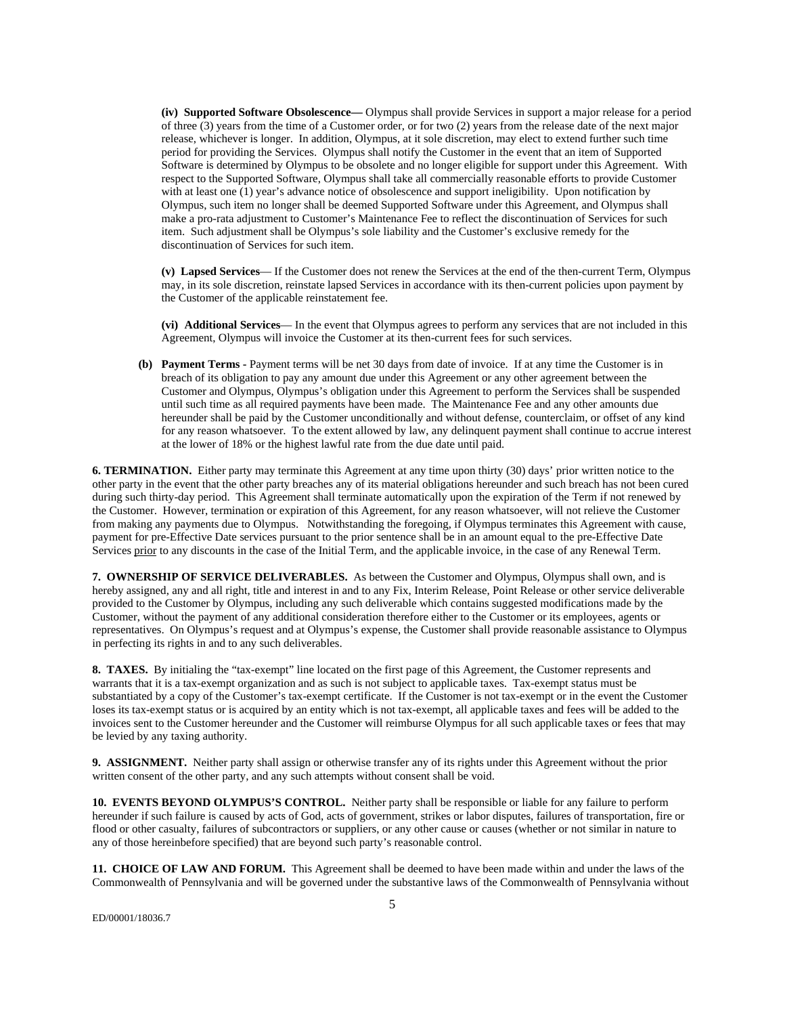**(iv) Supported Software Obsolescence—** Olympus shall provide Services in support a major release for a period of three (3) years from the time of a Customer order, or for two (2) years from the release date of the next major release, whichever is longer. In addition, Olympus, at it sole discretion, may elect to extend further such time period for providing the Services. Olympus shall notify the Customer in the event that an item of Supported Software is determined by Olympus to be obsolete and no longer eligible for support under this Agreement. With respect to the Supported Software, Olympus shall take all commercially reasonable efforts to provide Customer with at least one (1) year's advance notice of obsolescence and support ineligibility. Upon notification by Olympus, such item no longer shall be deemed Supported Software under this Agreement, and Olympus shall make a pro-rata adjustment to Customer's Maintenance Fee to reflect the discontinuation of Services for such item. Such adjustment shall be Olympus's sole liability and the Customer's exclusive remedy for the discontinuation of Services for such item.

**(v) Lapsed Services**— If the Customer does not renew the Services at the end of the then-current Term, Olympus may, in its sole discretion, reinstate lapsed Services in accordance with its then-current policies upon payment by the Customer of the applicable reinstatement fee.

**(vi) Additional Services**— In the event that Olympus agrees to perform any services that are not included in this Agreement, Olympus will invoice the Customer at its then-current fees for such services.

 **(b) Payment Terms -** Payment terms will be net 30 days from date of invoice. If at any time the Customer is in breach of its obligation to pay any amount due under this Agreement or any other agreement between the Customer and Olympus, Olympus's obligation under this Agreement to perform the Services shall be suspended until such time as all required payments have been made. The Maintenance Fee and any other amounts due hereunder shall be paid by the Customer unconditionally and without defense, counterclaim, or offset of any kind for any reason whatsoever. To the extent allowed by law, any delinquent payment shall continue to accrue interest at the lower of 18% or the highest lawful rate from the due date until paid.

**6. TERMINATION.** Either party may terminate this Agreement at any time upon thirty (30) days' prior written notice to the other party in the event that the other party breaches any of its material obligations hereunder and such breach has not been cured during such thirty-day period. This Agreement shall terminate automatically upon the expiration of the Term if not renewed by the Customer. However, termination or expiration of this Agreement, for any reason whatsoever, will not relieve the Customer from making any payments due to Olympus. Notwithstanding the foregoing, if Olympus terminates this Agreement with cause, payment for pre-Effective Date services pursuant to the prior sentence shall be in an amount equal to the pre-Effective Date Services prior to any discounts in the case of the Initial Term, and the applicable invoice, in the case of any Renewal Term.

**7. OWNERSHIP OF SERVICE DELIVERABLES.** As between the Customer and Olympus, Olympus shall own, and is hereby assigned, any and all right, title and interest in and to any Fix, Interim Release, Point Release or other service deliverable provided to the Customer by Olympus, including any such deliverable which contains suggested modifications made by the Customer, without the payment of any additional consideration therefore either to the Customer or its employees, agents or representatives. On Olympus's request and at Olympus's expense, the Customer shall provide reasonable assistance to Olympus in perfecting its rights in and to any such deliverables.

**8. TAXES.** By initialing the "tax-exempt" line located on the first page of this Agreement, the Customer represents and warrants that it is a tax-exempt organization and as such is not subject to applicable taxes. Tax-exempt status must be substantiated by a copy of the Customer's tax-exempt certificate. If the Customer is not tax-exempt or in the event the Customer loses its tax-exempt status or is acquired by an entity which is not tax-exempt, all applicable taxes and fees will be added to the invoices sent to the Customer hereunder and the Customer will reimburse Olympus for all such applicable taxes or fees that may be levied by any taxing authority.

**9. ASSIGNMENT.** Neither party shall assign or otherwise transfer any of its rights under this Agreement without the prior written consent of the other party, and any such attempts without consent shall be void.

**10. EVENTS BEYOND OLYMPUS'S CONTROL.** Neither party shall be responsible or liable for any failure to perform hereunder if such failure is caused by acts of God, acts of government, strikes or labor disputes, failures of transportation, fire or flood or other casualty, failures of subcontractors or suppliers, or any other cause or causes (whether or not similar in nature to any of those hereinbefore specified) that are beyond such party's reasonable control.

**11. CHOICE OF LAW AND FORUM.** This Agreement shall be deemed to have been made within and under the laws of the Commonwealth of Pennsylvania and will be governed under the substantive laws of the Commonwealth of Pennsylvania without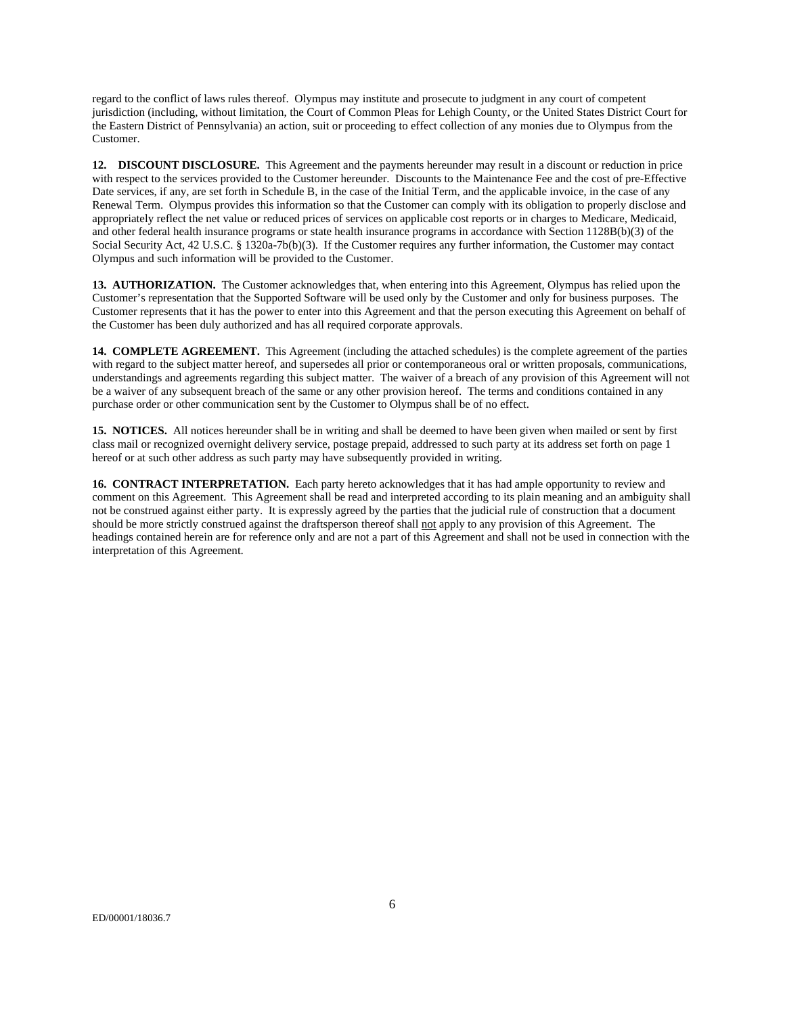regard to the conflict of laws rules thereof. Olympus may institute and prosecute to judgment in any court of competent jurisdiction (including, without limitation, the Court of Common Pleas for Lehigh County, or the United States District Court for the Eastern District of Pennsylvania) an action, suit or proceeding to effect collection of any monies due to Olympus from the Customer.

**12. DISCOUNT DISCLOSURE.** This Agreement and the payments hereunder may result in a discount or reduction in price with respect to the services provided to the Customer hereunder. Discounts to the Maintenance Fee and the cost of pre-Effective Date services, if any, are set forth in Schedule B, in the case of the Initial Term, and the applicable invoice, in the case of any Renewal Term. Olympus provides this information so that the Customer can comply with its obligation to properly disclose and appropriately reflect the net value or reduced prices of services on applicable cost reports or in charges to Medicare, Medicaid, and other federal health insurance programs or state health insurance programs in accordance with Section 1128B(b)(3) of the Social Security Act, 42 U.S.C. § 1320a-7b(b)(3). If the Customer requires any further information, the Customer may contact Olympus and such information will be provided to the Customer.

**13. AUTHORIZATION.** The Customer acknowledges that, when entering into this Agreement, Olympus has relied upon the Customer's representation that the Supported Software will be used only by the Customer and only for business purposes. The Customer represents that it has the power to enter into this Agreement and that the person executing this Agreement on behalf of the Customer has been duly authorized and has all required corporate approvals.

**14. COMPLETE AGREEMENT.** This Agreement (including the attached schedules) is the complete agreement of the parties with regard to the subject matter hereof, and supersedes all prior or contemporaneous oral or written proposals, communications, understandings and agreements regarding this subject matter. The waiver of a breach of any provision of this Agreement will not be a waiver of any subsequent breach of the same or any other provision hereof. The terms and conditions contained in any purchase order or other communication sent by the Customer to Olympus shall be of no effect.

**15. NOTICES.** All notices hereunder shall be in writing and shall be deemed to have been given when mailed or sent by first class mail or recognized overnight delivery service, postage prepaid, addressed to such party at its address set forth on page 1 hereof or at such other address as such party may have subsequently provided in writing.

**16. CONTRACT INTERPRETATION.** Each party hereto acknowledges that it has had ample opportunity to review and comment on this Agreement. This Agreement shall be read and interpreted according to its plain meaning and an ambiguity shall not be construed against either party. It is expressly agreed by the parties that the judicial rule of construction that a document should be more strictly construed against the draftsperson thereof shall not apply to any provision of this Agreement. The headings contained herein are for reference only and are not a part of this Agreement and shall not be used in connection with the interpretation of this Agreement.